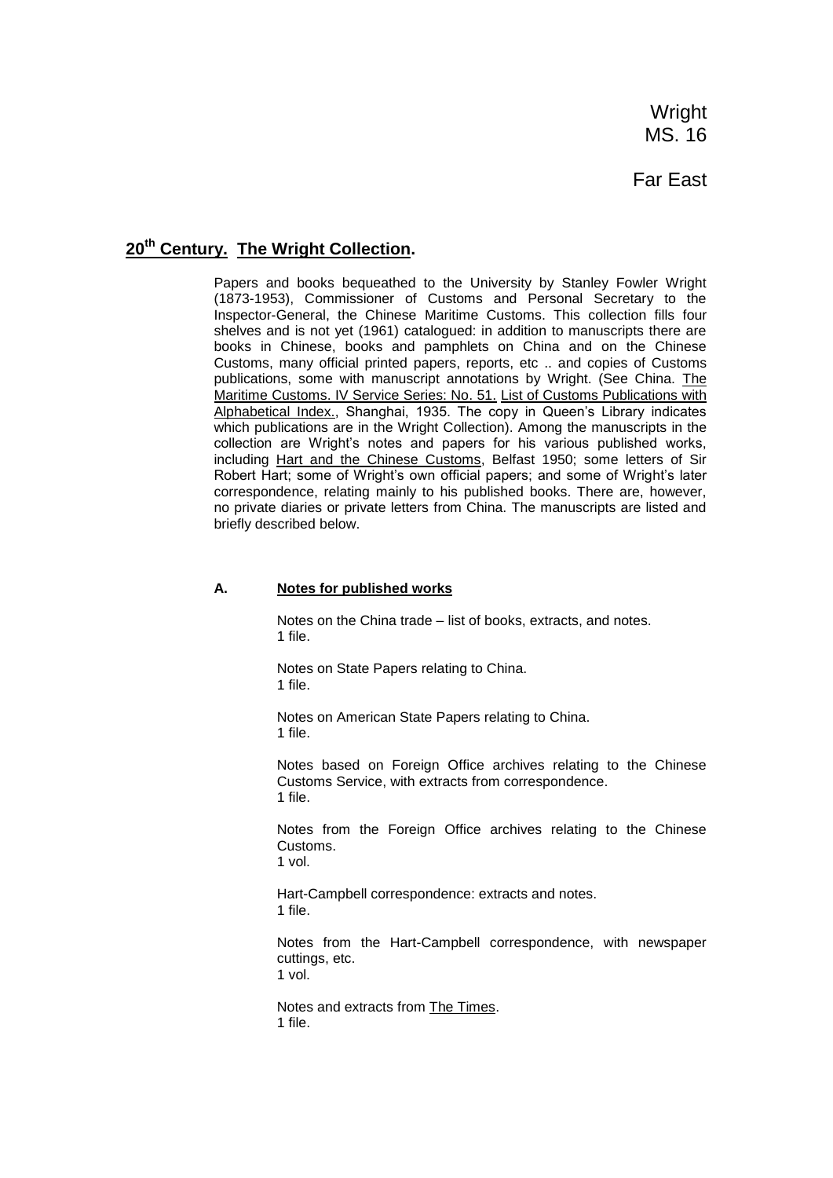**Wright** MS. 16

# Far East

# **20th Century. The Wright Collection.**

Papers and books bequeathed to the University by Stanley Fowler Wright (1873-1953), Commissioner of Customs and Personal Secretary to the Inspector-General, the Chinese Maritime Customs. This collection fills four shelves and is not yet (1961) catalogued: in addition to manuscripts there are books in Chinese, books and pamphlets on China and on the Chinese Customs, many official printed papers, reports, etc .. and copies of Customs publications, some with manuscript annotations by Wright. (See China. The Maritime Customs. IV Service Series: No. 51. List of Customs Publications with Alphabetical Index., Shanghai, 1935. The copy in Queen's Library indicates which publications are in the Wright Collection). Among the manuscripts in the collection are Wright's notes and papers for his various published works, including Hart and the Chinese Customs, Belfast 1950; some letters of Sir Robert Hart; some of Wright's own official papers; and some of Wright's later correspondence, relating mainly to his published books. There are, however, no private diaries or private letters from China. The manuscripts are listed and briefly described below.

#### **A. Notes for published works**

Notes on the China trade – list of books, extracts, and notes. 1 file.

Notes on State Papers relating to China. 1 file.

Notes on American State Papers relating to China. 1 file.

Notes based on Foreign Office archives relating to the Chinese Customs Service, with extracts from correspondence. 1 file.

Notes from the Foreign Office archives relating to the Chinese Customs. 1 vol.

Hart-Campbell correspondence: extracts and notes. 1 file.

Notes from the Hart-Campbell correspondence, with newspaper cuttings, etc. 1 vol.

Notes and extracts from The Times. 1 file.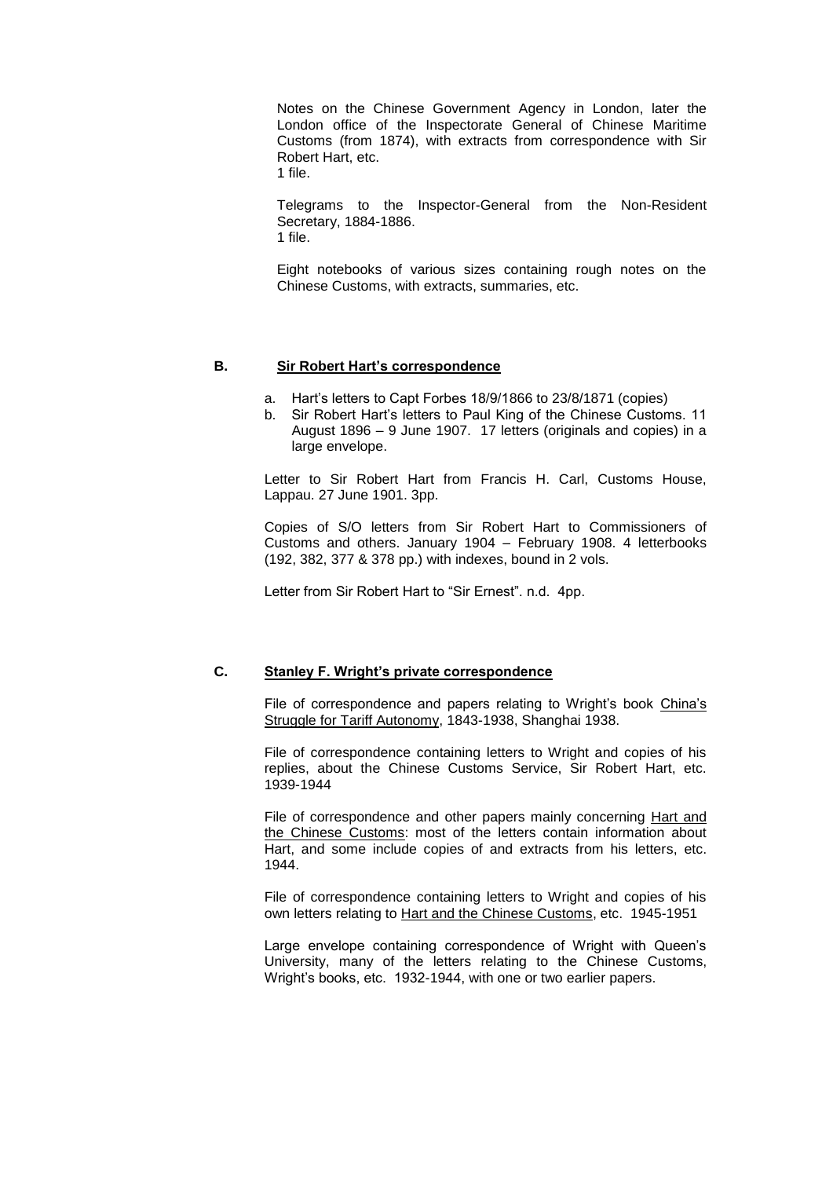Notes on the Chinese Government Agency in London, later the London office of the Inspectorate General of Chinese Maritime Customs (from 1874), with extracts from correspondence with Sir Robert Hart, etc.

1 file.

Telegrams to the Inspector-General from the Non-Resident Secretary, 1884-1886. 1 file.

Eight notebooks of various sizes containing rough notes on the Chinese Customs, with extracts, summaries, etc.

#### **B. Sir Robert Hart's correspondence**

- a. Hart's letters to Capt Forbes 18/9/1866 to 23/8/1871 (copies)
- b. Sir Robert Hart's letters to Paul King of the Chinese Customs. 11 August 1896 – 9 June 1907. 17 letters (originals and copies) in a large envelope.

Letter to Sir Robert Hart from Francis H. Carl, Customs House, Lappau. 27 June 1901. 3pp.

Copies of S/O letters from Sir Robert Hart to Commissioners of Customs and others. January 1904 – February 1908. 4 letterbooks (192, 382, 377 & 378 pp.) with indexes, bound in 2 vols.

Letter from Sir Robert Hart to "Sir Ernest". n.d. 4pp.

#### **C. Stanley F. Wright's private correspondence**

File of correspondence and papers relating to Wright's book China's Struggle for Tariff Autonomy, 1843-1938, Shanghai 1938.

File of correspondence containing letters to Wright and copies of his replies, about the Chinese Customs Service, Sir Robert Hart, etc. 1939-1944

File of correspondence and other papers mainly concerning Hart and the Chinese Customs: most of the letters contain information about Hart, and some include copies of and extracts from his letters, etc. 1944.

File of correspondence containing letters to Wright and copies of his own letters relating to Hart and the Chinese Customs, etc. 1945-1951

Large envelope containing correspondence of Wright with Queen's University, many of the letters relating to the Chinese Customs, Wright's books, etc. 1932-1944, with one or two earlier papers.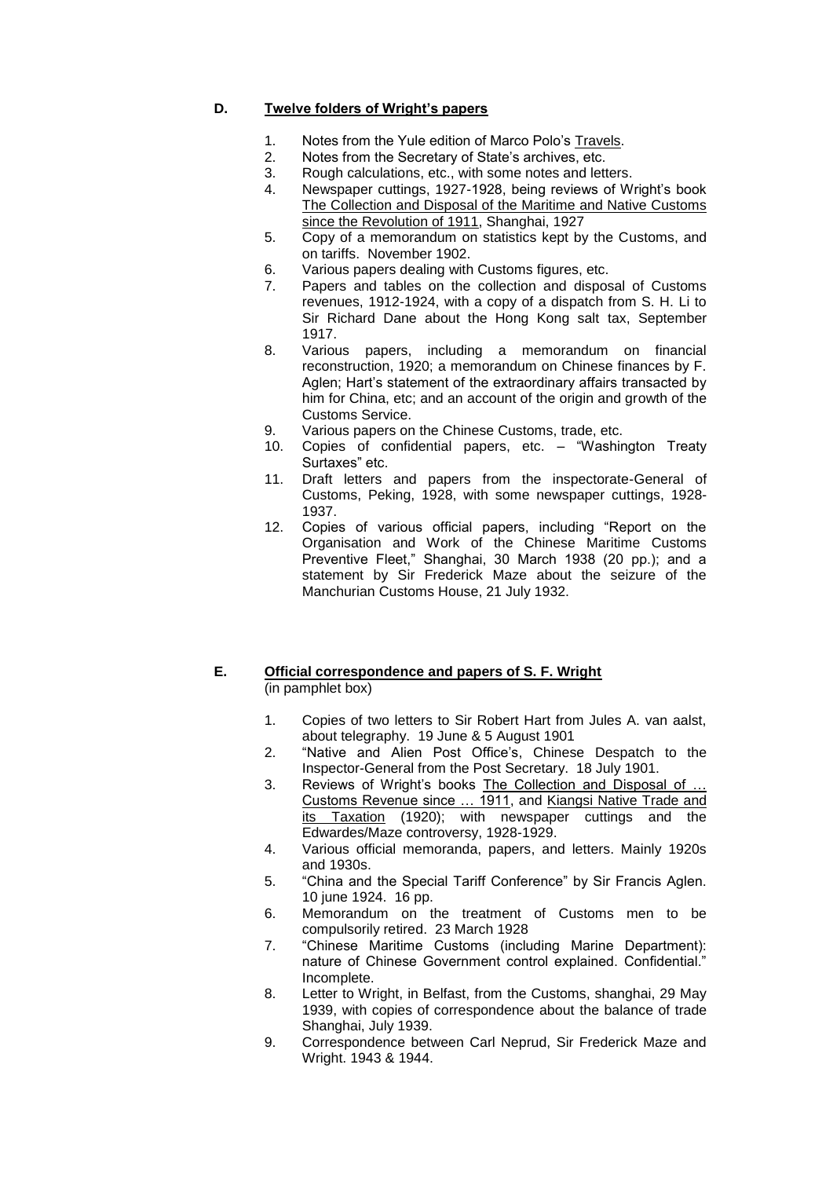## **D. Twelve folders of Wright's papers**

- 1. Notes from the Yule edition of Marco Polo's Travels.
- 2. Notes from the Secretary of State's archives, etc.
- 3. Rough calculations, etc., with some notes and letters.
- 4. Newspaper cuttings, 1927-1928, being reviews of Wright's book The Collection and Disposal of the Maritime and Native Customs since the Revolution of 1911, Shanghai, 1927
- 5. Copy of a memorandum on statistics kept by the Customs, and on tariffs. November 1902.
- 6. Various papers dealing with Customs figures, etc.
- 7. Papers and tables on the collection and disposal of Customs revenues, 1912-1924, with a copy of a dispatch from S. H. Li to Sir Richard Dane about the Hong Kong salt tax, September 1917.
- 8. Various papers, including a memorandum on financial reconstruction, 1920; a memorandum on Chinese finances by F. Aglen; Hart's statement of the extraordinary affairs transacted by him for China, etc; and an account of the origin and growth of the Customs Service.
- 9. Various papers on the Chinese Customs, trade, etc.
- 10. Copies of confidential papers, etc. "Washington Treaty Surtaxes" etc.
- 11. Draft letters and papers from the inspectorate-General of Customs, Peking, 1928, with some newspaper cuttings, 1928- 1937.
- 12. Copies of various official papers, including "Report on the Organisation and Work of the Chinese Maritime Customs Preventive Fleet," Shanghai, 30 March 1938 (20 pp.); and a statement by Sir Frederick Maze about the seizure of the Manchurian Customs House, 21 July 1932.

### **E. Official correspondence and papers of S. F. Wright** (in pamphlet box)

- 1. Copies of two letters to Sir Robert Hart from Jules A. van aalst, about telegraphy. 19 June & 5 August 1901
- 2. "Native and Alien Post Office's, Chinese Despatch to the Inspector-General from the Post Secretary. 18 July 1901.
- 3. Reviews of Wright's books The Collection and Disposal of … Customs Revenue since … 1911, and Kiangsi Native Trade and its Taxation (1920); with newspaper cuttings and the Edwardes/Maze controversy, 1928-1929.
- 4. Various official memoranda, papers, and letters. Mainly 1920s and 1930s.
- 5. "China and the Special Tariff Conference" by Sir Francis Aglen. 10 june 1924. 16 pp.
- 6. Memorandum on the treatment of Customs men to be compulsorily retired. 23 March 1928
- 7. "Chinese Maritime Customs (including Marine Department): nature of Chinese Government control explained. Confidential." Incomplete.
- 8. Letter to Wright, in Belfast, from the Customs, shanghai, 29 May 1939, with copies of correspondence about the balance of trade Shanghai, July 1939.
- 9. Correspondence between Carl Neprud, Sir Frederick Maze and Wright. 1943 & 1944.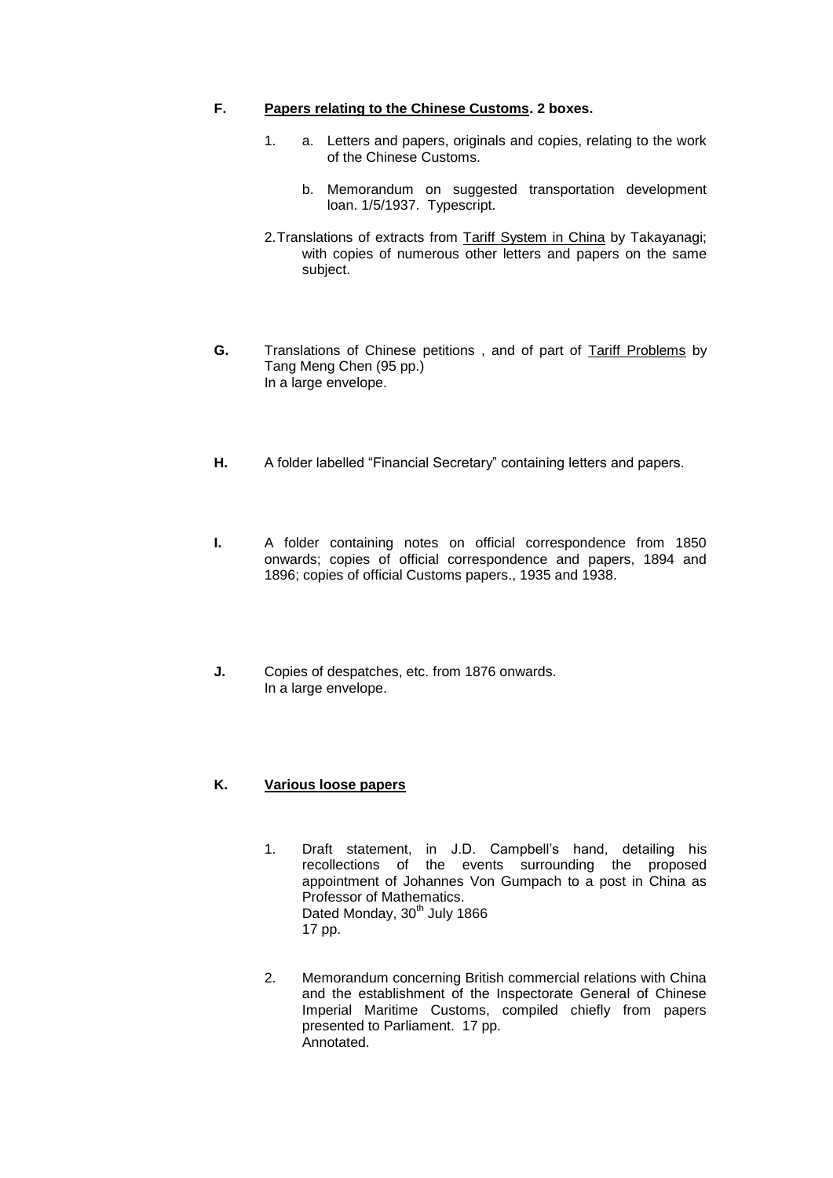### **F. Papers relating to the Chinese Customs. 2 boxes.**

- 1. a. Letters and papers, originals and copies, relating to the work of the Chinese Customs.
	- b. Memorandum on suggested transportation development loan. 1/5/1937. Typescript.
- 2.Translations of extracts from Tariff System in China by Takayanagi; with copies of numerous other letters and papers on the same subject.
- **G.** Translations of Chinese petitions , and of part of Tariff Problems by Tang Meng Chen (95 pp.) In a large envelope.
- **H.** A folder labelled "Financial Secretary" containing letters and papers.
- **I.** A folder containing notes on official correspondence from 1850 onwards; copies of official correspondence and papers, 1894 and 1896; copies of official Customs papers., 1935 and 1938.
- **J.** Copies of despatches, etc. from 1876 onwards. In a large envelope.

## **K. Various loose papers**

- 1. Draft statement, in J.D. Campbell's hand, detailing his recollections of the events surrounding the proposed appointment of Johannes Von Gumpach to a post in China as Professor of Mathematics. Dated Monday, 30<sup>th</sup> July 1866 17 pp.
- 2. Memorandum concerning British commercial relations with China and the establishment of the Inspectorate General of Chinese Imperial Maritime Customs, compiled chiefly from papers presented to Parliament. 17 pp. Annotated.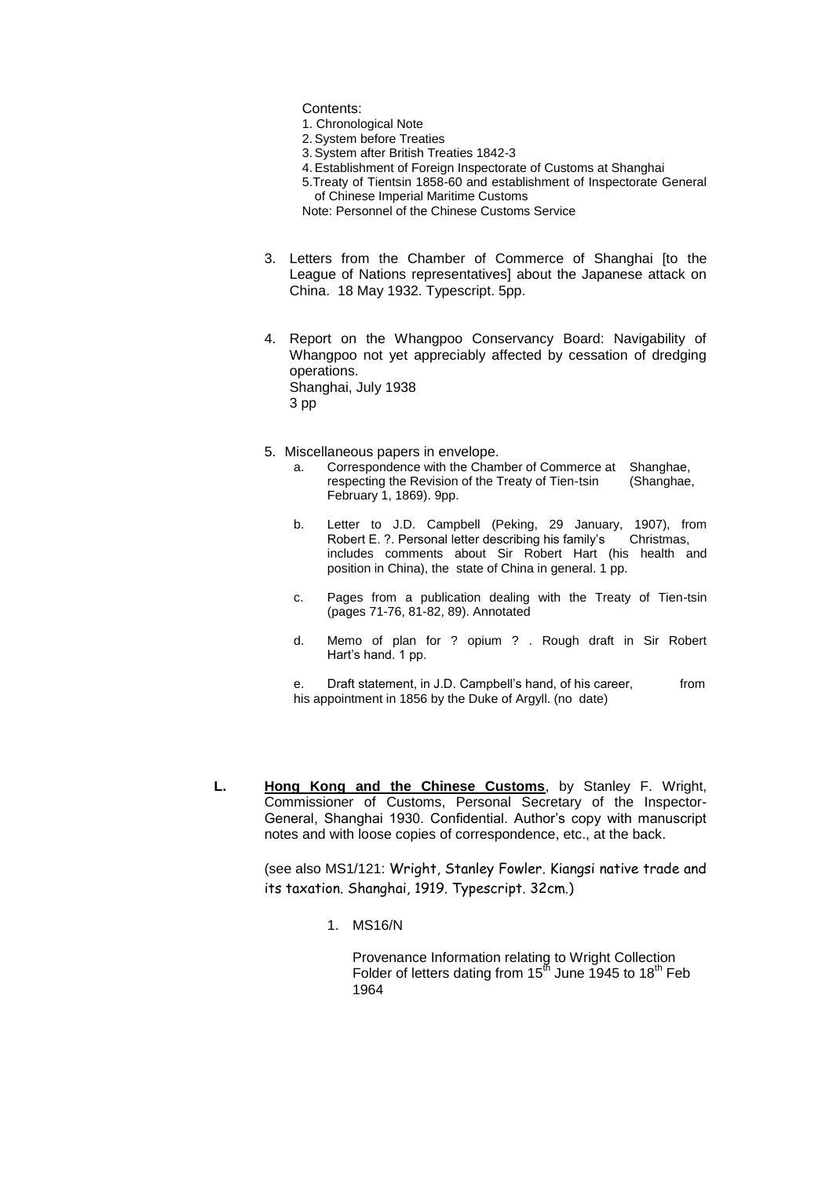Contents:

- 1. Chronological Note
- 2.System before Treaties
- 3.System after British Treaties 1842-3
- 4.Establishment of Foreign Inspectorate of Customs at Shanghai
- 5.Treaty of Tientsin 1858-60 and establishment of Inspectorate General of Chinese Imperial Maritime Customs

Note: Personnel of the Chinese Customs Service

- 3. Letters from the Chamber of Commerce of Shanghai [to the League of Nations representatives] about the Japanese attack on China. 18 May 1932. Typescript. 5pp.
- 4. Report on the Whangpoo Conservancy Board: Navigability of Whangpoo not yet appreciably affected by cessation of dredging operations. Shanghai, July 1938 3 pp
- 5. Miscellaneous papers in envelope.
	- a. Correspondence with the Chamber of Commerce at Shanghae, respecting the Revision of the Treaty of Tien-tsin (Shanghae, February 1, 1869). 9pp.
	- b. Letter to J.D. Campbell (Peking, 29 January, 1907), from<br>Robert E. ?. Personal letter describing his family's Christmas, Robert E. ?. Personal letter describing his family's includes comments about Sir Robert Hart (his health and position in China), the state of China in general. 1 pp.
	- c. Pages from a publication dealing with the Treaty of Tien-tsin (pages 71-76, 81-82, 89). Annotated
	- d. Memo of plan for ? opium ? . Rough draft in Sir Robert Hart's hand. 1 pp.
	- e. Draft statement, in J.D. Campbell's hand, of his career, from his appointment in 1856 by the Duke of Argyll. (no date)
- **L. Hong Kong and the Chinese Customs**, by Stanley F. Wright, Commissioner of Customs, Personal Secretary of the Inspector-General, Shanghai 1930. Confidential. Author's copy with manuscript notes and with loose copies of correspondence, etc., at the back.

(see also MS1/121: Wright, Stanley Fowler. Kiangsi native trade and its taxation. Shanghai, 1919. Typescript. 32cm.)

1. MS16/N

Provenance Information relating to Wright Collection Folder of letters dating from 15<sup>th</sup> June 1945 to 18<sup>th</sup> Feb 1964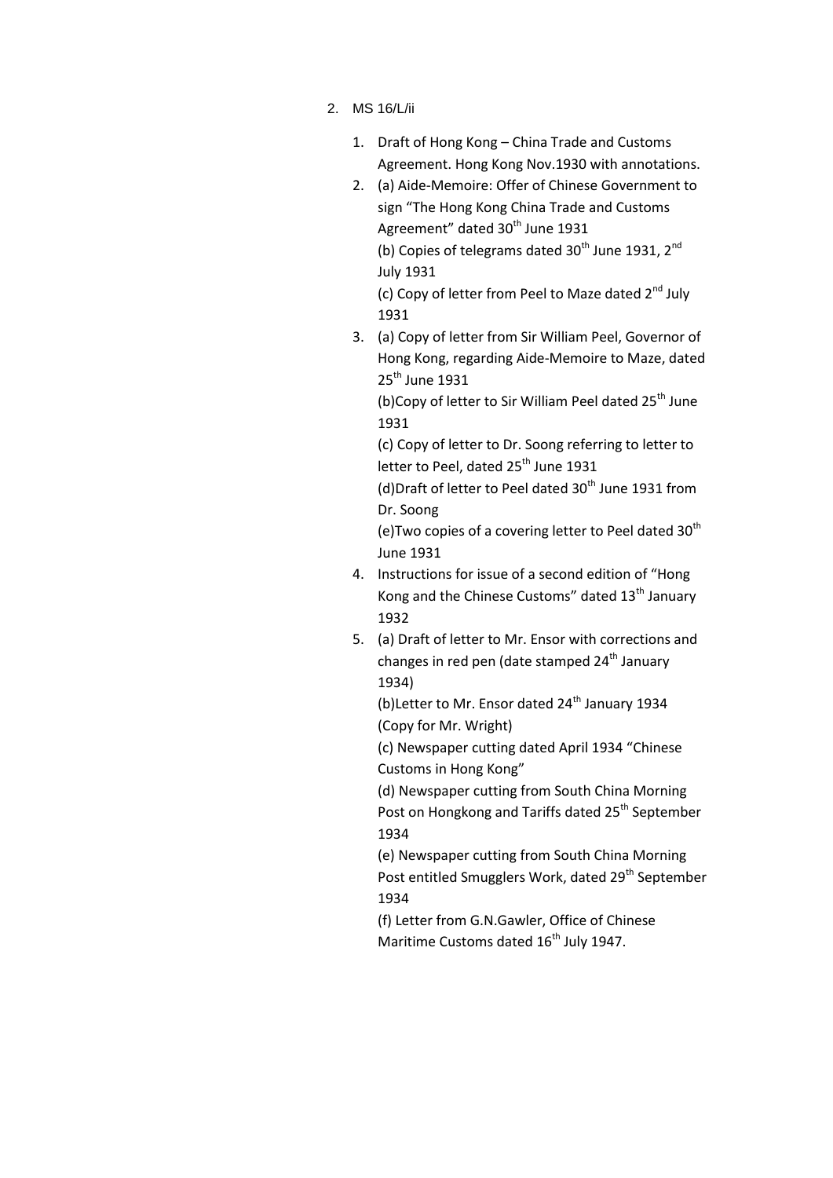- 2. MS 16/L/ii
	- 1. Draft of Hong Kong China Trade and Customs Agreement. Hong Kong Nov.1930 with annotations.
	- 2. (a) Aide-Memoire: Offer of Chinese Government to sign "The Hong Kong China Trade and Customs Agreement" dated 30<sup>th</sup> June 1931 (b) Copies of telegrams dated  $30<sup>th</sup>$  June 1931,  $2<sup>nd</sup>$ July 1931

(c) Copy of letter from Peel to Maze dated 2<sup>nd</sup> July 1931

3. (a) Copy of letter from Sir William Peel, Governor of Hong Kong, regarding Aide-Memoire to Maze, dated 25<sup>th</sup> June 1931

(b)Copy of letter to Sir William Peel dated 25<sup>th</sup> June 1931

(c) Copy of letter to Dr. Soong referring to letter to letter to Peel, dated 25<sup>th</sup> June 1931

(d) Draft of letter to Peel dated  $30<sup>th</sup>$  June 1931 from Dr. Soong

(e)Two copies of a covering letter to Peel dated  $30<sup>th</sup>$ June 1931

- 4. Instructions for issue of a second edition of "Hong Kong and the Chinese Customs" dated  $13<sup>th</sup>$  January 1932
- 5. (a) Draft of letter to Mr. Ensor with corrections and changes in red pen (date stamped  $24<sup>th</sup>$  January 1934)

(b) Letter to Mr. Ensor dated  $24<sup>th</sup>$  January 1934 (Copy for Mr. Wright)

(c) Newspaper cutting dated April 1934 "Chinese Customs in Hong Kong"

(d) Newspaper cutting from South China Morning Post on Hongkong and Tariffs dated 25<sup>th</sup> September 1934

(e) Newspaper cutting from South China Morning Post entitled Smugglers Work, dated 29<sup>th</sup> September 1934

(f) Letter from G.N.Gawler, Office of Chinese Maritime Customs dated 16<sup>th</sup> July 1947.